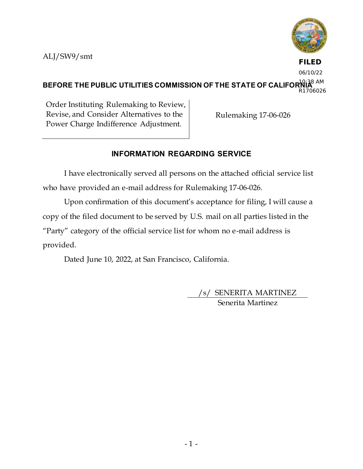

**FILED** 06/10/22

#### BEFORE THE PUBLIC UTILITIES COMMISSION OF THE STATE OF CALIFOR<sup>1</sup>NA<sup>8 AM</sup> R1706026

Order Instituting Rulemaking to Review, Revise, and Consider Alternatives to the Power Charge Indifference Adjustment.

Rulemaking 17-06-026

# **INFORMATION REGARDING SERVICE**

I have electronically served all persons on the attached official service list who have provided an e-mail address for Rulemaking 17-06-026.

Upon confirmation of this document's acceptance for filing, I will cause a copy of the filed document to be served by U.S. mail on all parties listed in the "Party" category of the official service list for whom no e-mail address is provided.

Dated June 10, 2022, at San Francisco, California.

/s/ SENERITA MARTINEZ Senerita Martinez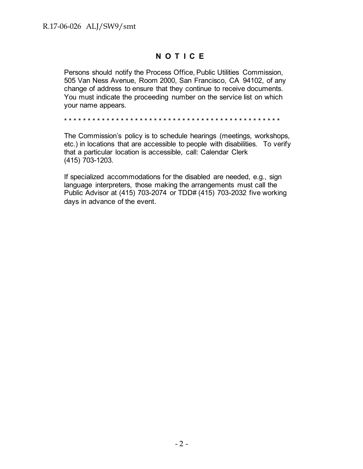# **N O T I C E**

Persons should notify the Process Office, Public Utilities Commission, 505 Van Ness Avenue, Room 2000, San Francisco, CA 94102, of any change of address to ensure that they continue to receive documents. You must indicate the proceeding number on the service list on which your name appears.

\* \* \* \* \* \* \* \* \* \* \* \* \* \* \* \* \* \* \* \* \* \* \* \* \* \* \* \* \* \* \* \* \* \* \* \* \* \* \* \* \* \* \* \* \* \*

The Commission's policy is to schedule hearings (meetings, workshops, etc.) in locations that are accessible to people with disabilities. To verify that a particular location is accessible, call: Calendar Clerk (415) 703-1203.

If specialized accommodations for the disabled are needed, e.g., sign language interpreters, those making the arrangements must call the Public Advisor at (415) 703-2074 or TDD# (415) 703-2032 five working days in advance of the event.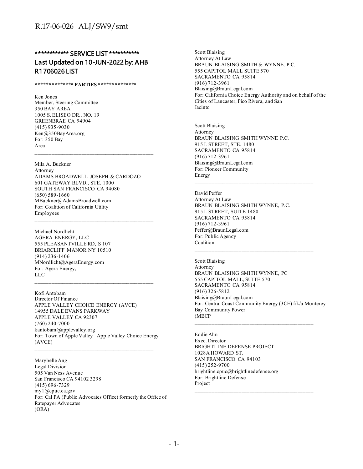## \*\*\*\*\*\*\*\*\*\*\*\* SERVICE LIST \*\*\*\*\*\*\*\*\*\*\* Last Updated on 10-JUN-2022 by: AHB R1706026 LIST

**\*\*\*\*\*\*\*\*\*\*\*\*\*\* PARTIES \*\*\*\*\*\*\*\*\*\*\*\*\*\*** 

Ken Jones Member, Steering Committee 350 BAY AREA 1005 S. ELISEO DR., NO. 19 GREENBRAE CA 94904 (415) 935-9030 Ken@350BayArea.org For: 350 Bay Area

Mila A. Buckner Attorney ADAMS BROADWELL JOSEPH & CARDOZO 601 GATEWAY BLVD., STE. 1000 SOUTH SAN FRANCISCO CA 94080 (650) 589-1660 MBuckner@AdamsBroadwell.com For: Coalition of California Utility Employees

Michael Nordlicht AGERA ENERGY, LLC 555 PLEASANTVILLE RD, S 107 BRIARCLIFF MANOR NY 10510 (914) 236-1406 MNordlicht@AgeraEnergy.com For: Agera Energy, LLC

Kofi Antobam Director Of Finance APPLE VALLEY CHOICE ENERGY (AVCE) 14955 DALE EVANS PARKWAY APPLE VALLEY CA 92307 (760) 240-7000 kantobam@applevalley.org For: Town of Apple Valley | Apple Valley Choice Energy (AVCE)

 $\mathcal{L}_\text{max}$  and the contract of the contract of the contract of the contract of the contract of the contract of the contract of the contract of the contract of the contract of the contract of the contract of the contrac

Marybelle Ang Legal Division 505 Van Ness Avenue San Francisco CA 94102 3298 (415) 696-7329 my1@cpuc.ca.gov For: Cal PA (Public Advocates Office) formerly the Office of Ratepayer Advocates (ORA)

Scott Blaising Attorney At Law BRAUN BLAISING SMITH & WYNNE. P.C. 555 CAPITOL MALL SUITE 570 SACRAMENTO CA 95814 (916) 712-3961 Blaising@BraunLegal.com For: California Choice Energy Authority and on behalf of the Cities of Lancaster, Pico Rivera, and San Jacinto

 $\mathcal{L}_\text{max}$  and the contract of the contract of the contract of the contract of the contract of the contract of the contract of the contract of the contract of the contract of the contract of the contract of the contrac

Scott Blaising Attorney BRAUN BLAISING SMITH WYNNE P.C. 915 L STREET, STE. 1480 SACRAMENTO CA 95814 (916) 712-3961 Blaising@BraunLegal.com For: Pioneer Community Energy

David Peffer Attorney At Law BRAUN BLAISING SMITH WYNNE, P.C. 915 L STREET, SUITE 1480 SACRAMENTO CA 95814 (916) 712-3961 Peffer@BraunLegal.com For: Public Agency Coalition

Scott Blaising Attorney BRAUN BLAISING SMITH WYNNE, PC 555 CAPITOL MALL, SUITE 570 SACRAMENTO CA 95814 (916) 326-5812 Blaising@BraunLegal.com For: Central Coast Community Energy (3CE) f/k/a Monterey Bay Community Power (MBCP

 $\mathcal{L}_\text{max}$  and the contract of the contract of the contract of the contract of the contract of the contract of the contract of the contract of the contract of the contract of the contract of the contract of the contrac

Eddie Ahn Exec. Director BRIGHTLINE DEFENSE PROJECT 1028A HOWARD ST. SAN FRANCISCO CA 94103 (415) 252-9700 brightline.cpuc@brightlinedefense.org For: Brightline Defense Project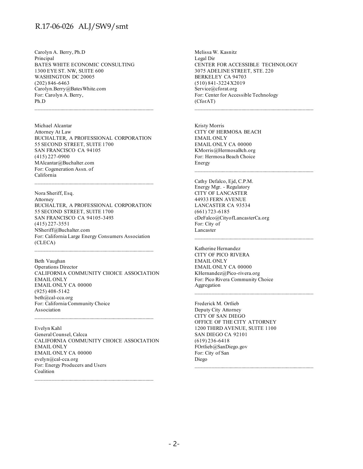Carolyn A. Berry, Ph.D Principal BATES WHITE ECONOMIC CONSULTING 1300 EYE ST. NW, SUITE 600 WASHINGTON DC 20005 (202) 846-6463 Carolyn.Berry@BatesWhite.com For: Carolyn A. Berry, Ph.D

Michael Alcantar Attorney At Law BUCHALTER, A PROFESSIONAL CORPORATION 55 SECOND STREET, SUITE 1700 SAN FRANCISCO CA 94105 (415) 227-0900 MAlcantar@Buchalter.com For: Cogeneration Assn. of California

Nora Sheriff, Esq. Attorney BUCHALTER, A PROFESSIONAL CORPORATION 55 SECOND STREET, SUITE 1700 SAN FRANCISCO CA 94105-3493 (415) 227-3551 NSheriff@Buchalter.com For: California Large Energy Consumers Association (CLECA)

Beth Vaughan Operations Director CALIFORNIA COMMUNITY CHOICE ASSOCIATION EMAIL ONLY EMAIL ONLY CA 00000 (925) 408-5142 beth@cal-cca.org For: California Community Choice Association

 $\mathcal{L}_\text{max}$  and the contract of the contract of the contract of the contract of the contract of the contract of the contract of the contract of the contract of the contract of the contract of the contract of the contrac

Evelyn Kahl General Counsel, Calcca CALIFORNIA COMMUNITY CHOICE ASSOCIATION EMAIL ONLY EMAIL ONLY CA 00000 evelyn@cal-cca.org For: Energy Producers and Users Coalition

Melissa W. Kasnitz Legal Dir CENTER FOR ACCESSIBLE TECHNOLOGY 3075 ADELINE STREET, STE. 220 BERKELEY CA 94703 (510) 841-3224 X2019 Service@cforat.org For: Center for Accessible Technology (CforAT)

Kristy Morris CITY OF HERMOSA BEACH EMAIL ONLY EMAIL ONLY CA 00000 KMorris@HermosaBch.org For: Hermosa Beach Choice Energy  $\mathcal{L}_\text{max}$  and the contract of the contract of the contract of the contract of the contract of the contract of the contract of the contract of the contract of the contract of the contract of the contract of the contrac

Cathy Defalco, Ejd, C.P.M. Energy Mgr. - Regulatory CITY OF LANCASTER 44933 FERN AVENUE LANCASTER CA 93534 (661) 723-6185 cDeFalco@CityofLancasterCa.org For: City of Lancaster

Katherine Hernandez CITY OF PICO RIVERA EMAIL ONLY EMAIL ONLY CA 00000 KHernandez@Pico-rivera.org For: Pico Rivera Community Choice Aggregation

Frederick M. Ortlieb Deputy City Attorney CITY OF SAN DIEGO OFFICE OF THE CITY ATTORNEY 1200 THIRD AVENUE, SUITE 1100 SAN DIEGO CA 92101 (619) 236-6418 FOrtlieb@SanDiego.gov For: City of San Diego

 $\mathcal{L}_\text{max}$  and the contract of the contract of the contract of the contract of the contract of the contract of the contract of the contract of the contract of the contract of the contract of the contract of the contrac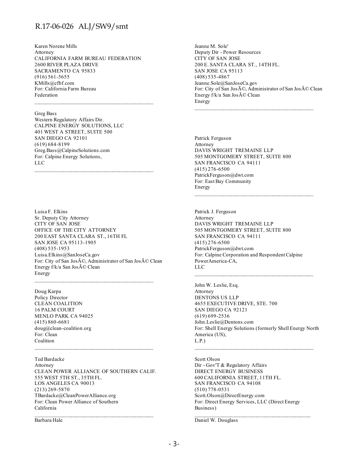Karen Norene Mills Attorney CALIFORNIA FARM BUREAU FEDERATION 2600 RIVER PLAZA DRIVE SACRAMENTO CA 95833 (916) 561-5655 KMills@cfbf.com For: California Farm Bureau Federation

#### Greg Bass

Western Regulatory Affairs Dir. CALPINE ENERGY SOLUTIONS, LLC 401 WEST A STREET, SUITE 500 SAN DIEGO CA 92101 (619) 684-8199 Greg.Bass@CalpineSolutions.com For: Calpine Energy Solutions, LLC

Luisa F. Elkins Sr. Deputy City Attorney CITY OF SAN JOSE OFFICE OF THE CITY ATTORNEY 200 EAST SANTA CLARA ST., 16TH FL SAN JOSE CA 95113-1905 (408) 535-1953 Luisa.Elkins@SanJoseCa.gov For: City of San José, Administrator of San José Clean Energy f/k/a San José Clean Energy

 $\mathcal{L}_\text{max}$  and the contract of the contract of the contract of the contract of the contract of the contract of the contract of the contract of the contract of the contract of the contract of the contract of the contrac

Doug Karpa Policy Director CLEAN COALITION 16 PALM COURT MENLO PARK CA 94025 (415) 860-6681 doug@clean-coalition.org For: Clean Coalition

Ted Bardacke Attorney CLEAN POWER ALLIANCE OF SOUTHERN CALIF. 555 WEST 5TH ST., 35TH FL. LOS ANGELES CA 90013 (213) 269-5870 TBardacke@CleanPowerAlliance.org For: Clean Power Alliance of Southern California  $\mathcal{L}_\text{max}$  and the contract of the contract of the contract of the contract of the contract of the contract of the contract of the contract of the contract of the contract of the contract of the contract of the contrac

Barbara Hale

Jeanne M. Sole' Deputy Dir - Power Resources CITY OF SAN JOSE 200 E. SANTA CLARA ST., 14TH FL. SAN JOSE CA 95113 (408) 535-4867 Jeanne.Sole@SanJoseCa.gov For: City of San José, Administrator of San José Clean Energy f/k/a San José Clean Energy

Patrick Ferguson Attorney DAVIS WRIGHT TREMAINE LLP 505 MONTGOMERY STREET, SUITE 800 SAN FRANCISCO CA 94111 (415) 276-6500 PatrickFerguson@dwt.com For: East Bay Community Energy

Patrick J. Ferguson Attorney DAVIS WRIGHT TREMAINE LLP 505 MONTGOMERY STREET, SUITE 800 SAN FRANCISCO CA 94111 (415) 276-6500 PatrickFerguson@dwt.com For: Calpine Corporation and Respondent Calpine PowerAmerica-CA, LLC

John W. Leslie, Esq. Attorney DENTONS US LLP 4655 EXECUTIVE DRIVE, STE. 700 SAN DIEGO CA 92121 (619) 699-2536 John.Leslie@Dentons.com For: Shell Energy Solutions (formerly Shell Energy North America (US), L.P.)

 $\mathcal{L}_\text{max}$  and the contract of the contract of the contract of the contract of the contract of the contract of the contract of the contract of the contract of the contract of the contract of the contract of the contrac

Scott Olson Dir - Gov'T & Regulatory Affairs DIRECT ENERGY BUSINESS 600 CALIFORNIA STREET, 11TH FL. SAN FRANCISCO CA 94108 (510) 778-0531 Scott.Olson@DirectEnergy.com For: Direct Energy Services, LLC (Direct Energy Business)

 $\mathcal{L}_\text{max}$  and the contract of the contract of the contract of the contract of the contract of the contract of the contract of the contract of the contract of the contract of the contract of the contract of the contrac

Daniel W. Douglass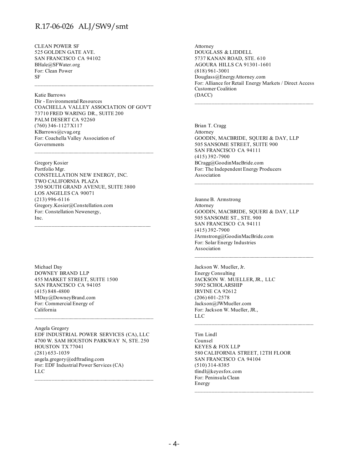CLEAN POWER SF 525 GOLDEN GATE AVE. SAN FRANCISCO CA 94102 BHale@SFWater.org For: Clean Power SF

Katie Barrows Dir - Environmental Resources COACHELLA VALLEY ASSOCIATION OF GOV'T 73710 FRED WARING DR., SUITE 200 PALM DESERT CA 92260 (760) 346-1127 X117 KBarrows@cvag.org For: Coachella Valley Association of Governments

Gregory Kosier Portfolio Mgr. CONSTELLATION NEW ENERGY, INC. TWO CALIFORNIA PLAZA 350 SOUTH GRAND AVENUE, SUITE 3800 LOS ANGELES CA 90071 (213) 996-6116 Gregory.Kosier@Constellation.com For: Constellation Newenergy, Inc. \_\_\_\_\_\_\_\_\_\_\_\_\_\_\_\_\_\_\_\_\_\_\_\_\_\_\_\_\_\_\_\_\_\_\_\_\_\_\_\_\_\_\_

Michael Day DOWNEY BRAND LLP 455 MARKET STREET, SUITE 1500 SAN FRANCISCO CA 94105 (415) 848-4800 MDay@DowneyBrand.com For: Commercial Energy of California

Angela Gregory EDF INDUSTRIAL POWER SERVICES (CA), LLC 4700 W. SAM HOUSTON PARKWAY N, STE. 250 HOUSTON TX 77041 (281) 653-1039 angela.gregory@edftrading.com For: EDF Industrial Power Services (CA) LLC

 $\mathcal{L}_\text{max}$  and the contract of the contract of the contract of the contract of the contract of the contract of the contract of the contract of the contract of the contract of the contract of the contract of the contrac

Attorney DOUGLASS & LIDDELL 5737 KANAN ROAD, STE. 610 AGOURA HILLS CA 91301-1601 (818) 961-3001 Douglass@EnergyAttorney.com For: Alliance for Retail Energy Markets / Direct Access Customer Coalition (DACC)

Brian T. Cragg Attorney GOODIN, MACBRIDE, SQUERI & DAY, LLP 505 SANSOME STREET, SUITE 900 SAN FRANCISCO CA 94111 (415) 392-7900 BCragg@GoodinMacBride.com For: The Independent Energy Producers Association

Jeanne B. Armstrong Attorney GOODIN, MACBRIDE, SQUERI & DAY, LLP 505 SANSOME ST., STE. 900 SAN FRANCISCO CA 94111 (415) 392-7900 JArmstrong@GoodinMacBride.com For: Solar Energy Industries Association

Jackson W. Mueller, Jr. Energy Consulting JACKSON W. MUELLER, JR., LLC 5092 SCHOLARSHIP IRVINE CA 92612 (206) 601-2578 Jackson@JWMueller.com For: Jackson W. Mueller, JR., LLC

Tim Lindl Counsel KEYES & FOX LLP 580 CALIFORNIA STREET, 12TH FLOOR SAN FRANCISCO CA 94104 (510) 314-8385 tlindl@keyesfox.com For: Peninsula Clean Energy

 $\mathcal{L}_\text{max}$  and the contract of the contract of the contract of the contract of the contract of the contract of the contract of the contract of the contract of the contract of the contract of the contract of the contrac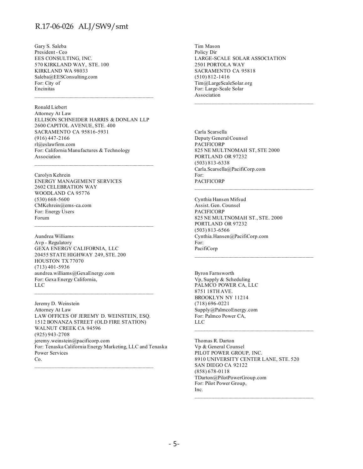Gary S. Saleba President - Ceo EES CONSULTING, INC. 570 KIRKLAND WAY, STE. 100 KIRKLAND WA 98033 Saleba@EESConsulting.com For: City of Encinitas

Ronald Liebert Attorney At Law ELLISON SCHNEIDER HARRIS & DONLAN LLP 2600 CAPITOL AVENUE, STE. 400 SACRAMENTO CA 95816-5931 (916) 447-2166 rl@eslawfirm.com For: California Manufactures & Technology Association  $\mathcal{L}_\text{max}$  and the contract of the contract of the contract of the contract of the contract of the contract of the contract of the contract of the contract of the contract of the contract of the contract of the contrac

\_\_\_\_\_\_\_\_\_\_\_\_\_\_\_\_\_\_\_\_\_\_\_\_\_\_\_\_\_\_\_\_\_\_\_\_\_\_\_\_\_\_\_\_

Carolyn Kehrein ENERGY MANAGEMENT SERVICES 2602 CELEBRATION WAY WOODLAND CA 95776 (530) 668-5600 CMKehrein@ems-ca.com For: Energy Users Forum

Aundrea Williams Avp - Regulatory GEXA ENERGY CALIFORNIA, LLC 20455 STATE HIGHWAY 249, STE. 200 HOUSTON TX 77070 (713) 401-5936 aundrea.williams@GexaEnergy.com For: Gexa Energy California, LLC

Jeremy D. Weinstein Attorney At Law LAW OFFICES OF JEREMY D. WEINSTEIN, ESQ. 1512 BONANZA STREET (OLD FIRE STATION) WALNUT CREEK CA 94596 (925) 943-2708 jeremy.weinstein@pacificorp.com For: Tenaska California Energy Marketing, LLC and Tenaska Power Services Co.

 $\mathcal{L}_\text{max}$  and the contract of the contract of the contract of the contract of the contract of the contract of the contract of the contract of the contract of the contract of the contract of the contract of the contrac

Tim Mason Policy Dir LARGE-SCALE SOLAR ASSOCIATION 2501 PORTOLA WAY SACRAMENTO CA 95818 (510) 812-1416 Tim@LargeScaleSolar.org For: Large-Scale Solar Association

Carla Scarsella Deputy General Counsel **PACIFICORP** 825 NE MULTNOMAH ST, STE 2000 PORTLAND OR 97232 (503) 813-6338 Carla.Scarsella@PacifiCorp.com For: PACIFICORP

Cynthia Hansen Mifsud Assist. Gen. Counsel PACIFICORP 825 NE MULTNOMAH ST., STE. 2000 PORTLAND OR 97232 (503) 813-6566 Cynthia.Hansen@PacifiCorp.com For: PacifiCorp

Byron Farnsworth Vp, Supply & Scheduling PALMCO POWER CA, LLC 8751 18TH AVE. BROOKLYN NY 11214 (718) 696-0221 Supply@PalmcoEnergy.com For: Palmco Power CA, LLC

Thomas R. Darton Vp & General Counsel PILOT POWER GROUP, INC. 8910 UNIVERSITY CENTER LANE, STE. 520 SAN DIEGO CA 92122 (858) 678-0118 TDarton@PilotPowerGroup.com For: Pilot Power Group, Inc.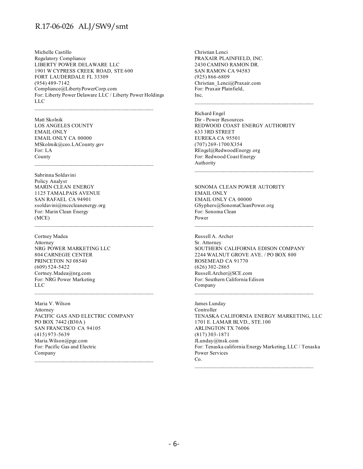Michelle Castillo Regulatory Compliance LIBERTY POWER DELAWARE LLC 1901 W CYPRESS CREEK ROAD, STE 600 FORT LAUDERDALE FL 33309 (954) 489-7142 Compliance@LibertyPowerCorp.com For: Liberty Power Delaware LLC / Liberty Power Holdings LLC

Matt Skolnik LOS ANGELES COUNTY EMAIL ONLY EMAIL ONLY CA 00000 MSkolmik@ceo.LACounty.gov For: LA County  $\mathcal{L}_\text{max}$  and the contract of the contract of the contract of the contract of the contract of the contract of the contract of the contract of the contract of the contract of the contract of the contract of the contrac

Sabrinna Soldavini Policy Analyst MARIN CLEAN ENERGY 1125 TAMALPAIS AVENUE SAN RAFAEL CA 94901 ssoldavini@mcecleanenergy.org For: Marin Clean Energy (MCE)

Cortney Madea Attorney NRG POWER MARKETING LLC 804 CARNEGIE CENTER PRINCETON NJ 08540 (609) 524-5422 Cortney.Madea@nrg.com For: NRG Power Marketing LLC

\_\_\_\_\_\_\_\_\_\_\_\_\_\_\_\_\_\_\_\_\_\_\_\_\_\_\_\_\_\_\_\_\_\_\_\_\_\_\_\_\_\_\_\_

Maria V. Wilson Attorney PACIFIC GAS AND ELECTRIC COMPANY PO BOX 7442 (B30A ) SAN FRANCISCO CA 94105 (415) 973-5639 Maria.Wilson@pge.com For: Pacific Gas and Electric Company

Christian Lenci PRAXAIR PLAINFIELD, INC. 2430 CAMINO RAMON DR. SAN RAMON CA 94583 (925) 866-6809 Christian\_Lenci@Praxair.com For: Praxair Plainfield, Inc.

Richard Engel Dir - Power Resources REDWOOD COAST ENERGY AUTHORITY 633 3RD STREET EUREKA CA 95501 (707) 269-1700 X354 REngel@RedwoodEnergy.org For: Redwood Coast Energy Authority

 $\mathcal{L}_\text{max}$  and the contract of the contract of the contract of the contract of the contract of the contract of the contract of the contract of the contract of the contract of the contract of the contract of the contrac

\_\_\_\_\_\_\_\_\_\_\_\_\_\_\_\_\_\_\_\_\_\_\_\_\_\_\_\_\_\_\_\_\_\_\_\_\_\_\_\_\_\_\_\_

SONOMA CLEAN POWER AUTORITY EMAIL ONLY EMAIL ONLY CA 00000 GSyphers@SonomaCleanPower.org For: Sonoma Clean Power

Russell A. Archer Sr. Attorney SOUTHERN CALIFORNIA EDISON COMPANY 2244 WALNUT GROVE AVE. / PO BOX 800 ROSEMEAD CA 91770 (626) 302-2865 Russell.Archer@SCE.com For: Southern California Edison Company

James Lunday Controller TENASKA CALIFORNIA ENERGY MARKETING, LLC 1701 E. LAMAR BLVD., STE.100 ARLINGTON TX 76006 (817) 303-1871 JLunday@tnsk.com For: Tenaska california Energy Marketing, LLC / Tenaska Power Services Co.

 $\mathcal{L}_\text{max}$  and the contract of the contract of the contract of the contract of the contract of the contract of the contract of the contract of the contract of the contract of the contract of the contract of the contrac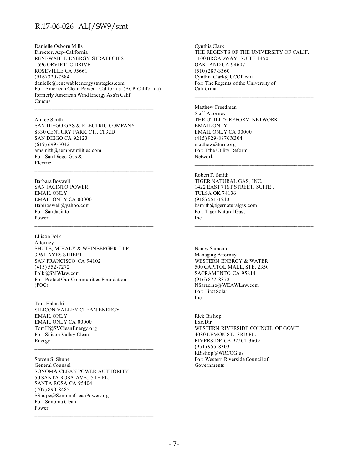Danielle Osborn Mills Director, Acp-California RENEWABLE ENERGY STRATEGIES 1696 ORVIETTO DRIVE ROSEVILLE CA 95661 (916) 320-7584 danielle@renewableenergystrategies.com For: American Clean Power - California (ACP-California) formerly American Wind Energy Ass'n Calif. Caucus

Aimee Smith SAN DIEGO GAS & ELECTRIC COMPANY 8330 CENTURY PARK CT., CP32D SAN DIEGO CA 92123 (619) 699-5042 amsmith@semprautilities.com For: San Diego Gas & Electric

 $\mathcal{L}_\text{max}$  and the contract of the contract of the contract of the contract of the contract of the contract of the contract of the contract of the contract of the contract of the contract of the contract of the contrac

\_\_\_\_\_\_\_\_\_\_\_\_\_\_\_\_\_\_\_\_\_\_\_\_\_\_\_\_\_\_\_\_\_\_\_\_\_\_\_\_\_\_\_\_

Barbara Boswell SAN JACINTO POWER EMAIL ONLY EMAIL ONLY CA 00000 BabBoswell@yahoo.com For: San Jacinto Power

Ellison Folk Attorney SHUTE, MIHALY & WEINBERGER LLP 396 HAYES STREET SAN FRANCISCO CA 94102 (415) 552-7272 Folk@SMWlaw.com For: Protect Our Communities Foundation (POC)

Tom Habashi SILICON VALLEY CLEAN ENERGY EMAIL ONLY EMAIL ONLY CA 00000 TomH@SVCleanEnergy.org For: Silicon Valley Clean Energy

Steven S. Shupe General Counsel SONOMA CLEAN POWER AUTHORITY 50 SANTA ROSA AVE., 5TH FL. SANTA ROSA CA 95404 (707) 890-8485 SShupe@SonomaCleanPower.org For: Sonoma Clean Power

 $\mathcal{L}_\text{max}$  and the contract of the contract of the contract of the contract of the contract of the contract of the contract of the contract of the contract of the contract of the contract of the contract of the contrac

Cynthia Clark THE REGENTS OF THE UNIVERSITY OF CALIF. 1100 BROADWAY, SUITE 1450 OAKLAND CA 94607 (510) 287-3360 Cynthia.Clark@UCOP.edu For: The Regents of the University of California

 $\mathcal{L}_\text{max}$  and the contract of the contract of the contract of the contract of the contract of the contract of the contract of the contract of the contract of the contract of the contract of the contract of the contrac

\_\_\_\_\_\_\_\_\_\_\_\_\_\_\_\_\_\_\_\_\_\_\_\_\_\_\_\_\_\_\_\_\_\_\_\_\_\_\_\_\_\_\_\_

Matthew Freedman Staff Attorney THE UTILITY REFORM NETWORK EMAIL ONLY EMAIL ONLY CA 00000 (415) 929-8876 X304 matthew@turn.org For: Tthe Utility Reform Network

Robert F. Smith TIGER NATURAL GAS, INC. 1422 EAST 71ST STREET, SUITE J TULSA OK 74136 (918) 551-1213 bsmith@tigernaturalgas.com For: Tiger Natural Gas, Inc.

Nancy Saracino Managing Attorney WESTERN ENERGY & WATER 500 CAPITOL MALL, STE. 2350 SACRAMENTO CA 95814 (916) 877-8872 NSaracino@WEAWLaw.com For: First Solar, Inc.

Rick Bishop Exe.Dir WESTERN RIVERSIDE COUNCIL OF GOV'T 4080 LEMON ST., 3RD FL. RIVERSIDE CA 92501-3609 (951) 955-8303 RBishop@WRCOG.us For: Western Riverside Council of Governments

 $\mathcal{L}_\text{max}$  and the contract of the contract of the contract of the contract of the contract of the contract of the contract of the contract of the contract of the contract of the contract of the contract of the contrac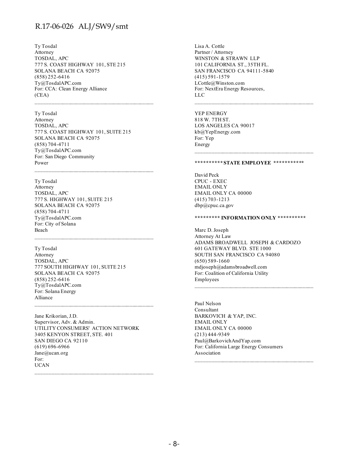Ty Tosdal Attorney TOSDAL, APC 777 S. COAST HIGHWAY 101, STE 215 SOLANA BEACH CA 92075 (858) 252-6416 Ty@TosdalAPC.com For: CCA: Clean Energy Alliance (CEA)

Ty Tosdal Attorney TOSDAL, APC 777 S. COAST HIGHWAY 101, SUITE 215 SOLANA BEACH CA 92075 (858) 704-4711 Ty@TosdalAPC.com For: San Diego Community Power

 $\mathcal{L}_\text{max}$  and the contract of the contract of the contract of the contract of the contract of the contract of the contract of the contract of the contract of the contract of the contract of the contract of the contrac

Ty Tosdal

Attorney TOSDAL, APC 777 S. HIGHWAY 101, SUITE 215 SOLANA BEACH CA 92075 (858) 704-4711 Ty@TosdalAPC.com For: City of Solana Beach

Ty Tosdal Attorney TOSDAL, APC 777 SOUTH HIGHWAY 101, SUITE 215 SOLANA BEACH CA 92075 (858) 252-6416 Ty@TosdalAPC.com For: Solana Energy Alliance

Jane Krikorian, J.D. Supervisor, Adv. & Admin. UTILITY CONSUMERS' ACTION NETWORK 3405 KENYON STREET, STE. 401 SAN DIEGO CA 92110 (619) 696-6966 Jane@ucan.org For: UCAN

 $\mathcal{L}_\text{max}$  and the contract of the contract of the contract of the contract of the contract of the contract of the contract of the contract of the contract of the contract of the contract of the contract of the contrac

Lisa A. Cottle Partner / Attorney WINSTON & STRAWN LLP 101 CALIFORNIA ST., 35TH FL. SAN FRANCISCO CA 94111-5840 (415) 591-1579 LCottle@Winston.com For: NextEra Energy Resources, LLC

YEP ENERGY 818 W. 7TH ST. LOS ANGELES CA 90017 kb@YepEnergy.com For: Yep Energy

#### **\*\*\*\*\*\*\*\*\*\* STATE EMPLOYEE \*\*\*\*\*\*\*\*\*\*\***

David Peck CPUC - EXEC EMAIL ONLY EMAIL ONLY CA 00000 (415) 703-1213 dbp@cpuc.ca.gov

#### **\*\*\*\*\*\*\*\*\* INFORMATION ONLY \*\*\*\*\*\*\*\*\*\***

Marc D. Joseph Attorney At Law ADAMS BROADWELL JOSEPH & CARDOZO 601 GATEWAY BLVD. STE 1000 SOUTH SAN FRANCISCO CA 94080 (650) 589-1660 mdjoseph@adamsbroadwell.com For: Coalition of California Utility Employees

Paul Nelson Consultant BARKOVICH & YAP, INC. EMAIL ONLY EMAIL ONLY CA 00000 (213) 444-9349 Paul@BarkovichAndYap.com For: California Large Energy Consumers Association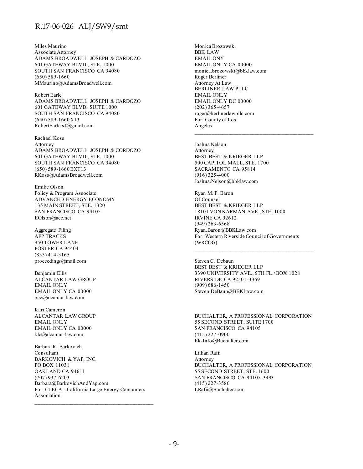Miles Maurino Associate Attorney ADAMS BROADWELL JOSEPH & CARDOZO 601 GATEWAY BLVD., STE. 1000 SOUTH SAN FRANCISCO CA 94080 (650) 589-1660 MMaurino@AdamsBroadwell.com

Robert Earle ADAMS BROADWELL JOSEPH & CARDOZO 601 GATEWAY BLVD, SUITE 1000 SOUTH SAN FRANCISCO CA 94080  $(650)$  589-1660X13 RobertEarle.sf@gmail.com

Rachael Koss Attorney ADAMS BROADWELL JOSEPH & CORDOZO 601 GATEWAY BLVD., STE. 1000 SOUTH SAN FRANCISCO CA 94080 (650) 589-1660 EXT13 RKoss@AdamsBroadwell.com

Emilie Olson Policy & Program Associate ADVANCED ENERGY ECONOMY 135 MAIN STREET, STE. 1320 SAN FRANCISCO CA 94105 EOlson@aee.net

Aggregate Filing AFP TRACKS 950 TOWER LANE FOSTER CA 94404 (833) 414-3165 proceedings@mail.com

Benjamin Ellis ALCANTAR LAW GROUP EMAIL ONLY EMAIL ONLY CA 00000 bce@alcantar-law.com

Kari Cameron ALCANTAR LAW GROUP EMAIL ONLY EMAIL ONLY CA 00000 klc@alcantar-law.com

Barbara R. Barkovich Consultant BARKOVICH & YAP, INC. PO BOX 11031 OAKLAND CA 94611 (707) 937-6203 Barbara@BarkovichAndYap.com For: CLECA - California Large Energy Consumers Association

Monica Brozowski BBK LAW EMAIL ONY EMAIL ONLY CA 00000 monica.brozowski@bbklaw.com Roger Berliner Attorney At Law BERLINER LAW PLLC EMAIL ONLY EMAIL ONLY DC 00000 (202) 365-4657 roger@berlinerlawpllc.com For: County of Los Angeles

Joshua Nelson Attorney BEST BEST & KRIEGER LLP 500 CAPITOL MALL, STE. 1700 SACRAMENTO CA 95814 (916) 325-4000 Joshua.Nelson@bbklaw.com

Ryan M. F. Baron Of Counsel BEST BEST & KRIEGER LLP 18101 VON KARMAN AVE., STE. 1000 IRVINE CA 92612 (949) 263-6568 Ryan.Baron@BBKLaw.com For: Western Riverside Council of Governments (WRCOG)

Steven C. Debaun BEST BEST & KRIEGER LLP 3390 UNIVERSITY AVE., 5TH FL./ BOX 1028 RIVERSIDE CA 92501-3369 (909) 686-1450 Steven.DeBaun@BBKLaw.com

BUCHALTER, A PROFESSIONAL CORPORATION 55 SECOND STREET, SUITE 1700 SAN FRANCISCO CA 94105 (415) 227-0900 Ek-Info@Buchalter.com

Lillian Rafii Attorney BUCHALTER, A PROFESSIONAL CORPORATION 55 SECOND STREET, STE. 1600 SAN FRANCISCO CA 94105-3493 (415) 227-3586 LRafii@Buchalter.com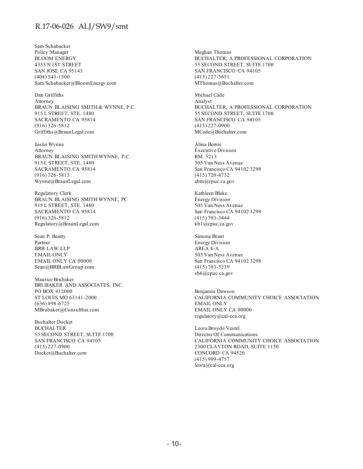Sam Schabacker Policy Manager BLOOM ENERGY 4353 N 1ST STREET SAN JOSE CA 95143 (408) 543-1500 Sam.Schabacker@BloomEnergy.com

Dan Griffiths Attorney BRAUN BLAISING SMITH & WYNNE, P.C. 915 L STREET, STE. 1480 SACRAMENTO CA 95814 (916) 326-5812 Griffiths@BraunLegal.com

Justin Wynne Attorney BRAUN BLAISING SMITH WYNNE, P.C. 915 L STREET, STE. 1480 SACRAMENTO CA 95814 (916) 326-5813 Wynne@BraunLegal.com

Regulatory Clerk BRAUN BLAISING SMITH WYNNE, PC 915 L STREET, STE. 1480 SACRAMENTO CA 95814 (916) 326-5812 Regulatory@BraunLegal.com

Sean P. Beatty Partner BRB LAW LLP EMAIL ONLY EMAIL ONLY CA 00000 Sean@BRBLawGroup.com

Maurice Brubaker BRUBAKER AND ASSOCIATES, INC. PO BOX 412000 ST LOUIS MO 63141-2000 (636) 898-6725 MBrubaker@Consultbai.com

Buchalter Docket BUCHALTER 55 SECOND STREET, SUITE 1700 SAN FRANCISCO CA 94105 (415) 227-0900 Docket@Buchalter.com

Meghan Thomas BUCHALTER, A PROFESSIONAL CORPORATION 55 SECOND STREET, SUITE 1700 SAN FRANCISCO CA 94105 (415) 227-3651 MThomas@Buchalter.com

Michael Cade Analyst BUCHALTER, A PROFESSIONAL CORPORATION 55 SECOND STREET, SUITE 1700 SAN FRANCISCO CA 94105 (415) 227-0900 MCade@Buchalter.com

Alina Bemis Executive Division RM. 5213 505 Van Ness Avenue San Francisco CA 94102 3298 (415) 720-4732 abm@cpuc.ca.gov

Kathleen Blake Energy Division 505 Van Ness Avenue San Francisco CA 94102 3298 (415) 703-3444 kb1@cpuc.ca.gov

Simone Brant Energy Division AREA 4-A 505 Van Ness Avenue San Francisco CA 94102 3298 (415) 703-5239 sb6@cpuc.ca.gov

Benjamin Dawson CALIFORNIA COMMUNITY CHOICE ASSOCIATION EMAIL ONLY EMAIL ONLY CA 00000 regulatory@cal-cca.org

Leora Broydo Vestel Director Of Communications CALIFORNIA COMMUNITY CHOICE ASSOCIATION 2300 CLAYTON ROAD, SUITE 1150 CONCORD CA 94520 (415) 999-4757 leora@cal-cca.org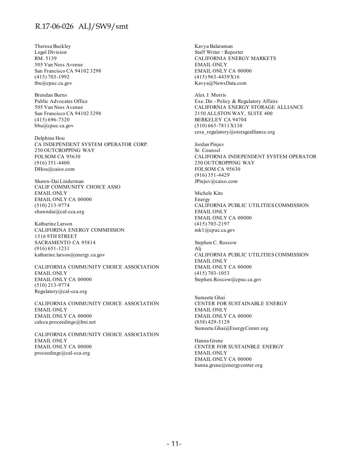Theresa Buckley Legal Division RM. 5139 505 Van Ness Avenue San Francisco CA 94102 3298 (415) 703-1992 tbu@cpuc.ca.gov

Brendan Burns Public Advocates Office 505 Van Ness Avenue San Francisco CA 94102 3298 (415) 696-7320 bbu@cpuc.ca.gov

Delphine Hou CA INDEPENDENT SYSTEM OPERATOR CORP. 250 OUTCROPPING WAY FOLSOM CA 95630 (916) 351-4400 DHou@caiso.com

Shawn-Dai Linderman CALIF COMMUNITY CHOICE ASSO EMAIL ONLY EMAIL ONLY CA 00000 (510) 213-9774 shawndai@cal-cca.org

Katharine Larson CALIFORINA ENERGY COMMISSION 1516 9TH STREET SACRAMENTO CA 95814 (916) 651-1231 katharine.larson@energy.ca.gov

CALIFORNIA COMMUNITY CHOICE ASSOCIATION EMAIL ONLY EMAIL ONLY CA 00000 (510) 213-9774 Regulatory@cal-cca.org

CALIFORNIA COMMUNITY CHOICE ASSOCIATION EMAIL ONLY EMAIL ONLY CA 00000 calcca.proceedings@lmi.net

CALIFORNIA COMMUNITY CHOICE ASSOCIATION EMAIL ONLY EMAIL ONLY CA 00000 proceedings@cal-cca.org

Kavya Balaraman Staff Writer / Reporter CALIFORNIA ENERGY MARKETS EMAIL ONLY EMAIL ONLY CA 00000 (415) 963-4439 X16 Kavya@NewsData.com

Alex J. Morris Exe. Dir.- Policy & Regulatory Affairs CALIFORNIA ENERGY STORAGE ALLIANCE 2150 ALLSTON WAY, SUITE 400 BERKELEY CA 94704 (510) 665-7811 X110 cesa\_regulatory@storagealliance.org

Jordan Pinjuv Sr. Counsel CALIFORNIA INDEPENDENT SYSTEM OPERATOR 250 OUTCROPPING WAY FOLSOM CA 95630 (916) 351-4429 JPinjuv@caiso.com

Michele Kito Energy CALIFORNIA PUBLIC UTILITIES COMMISSION EMAIL ONLY EMAIL ONLY CA 00000 (415) 703-2197 mk1@cpuc.ca.gov

Stephen C. Roscow Alj CALIFORNIA PUBLIC UTILITIES COMMISSION EMAIL ONLY EMAIL ONLY CA 00000 (415) 703-1053 Stephen.Roscow@cpuc.ca.gov

Sumeeta Ghai CENTER FOR SUSTAINABLE ENERGY EMAIL ONLY EMAIL ONLY CA 00000 (858) 429-5129 Sumeeta.Ghai@EnergyCenter.org

Hanna Grene CENTER FOR SUSTAINBLE ENERGY EMAIL ONLY EMAIL ONLY CA 00000 hanna.grene@energycenter.org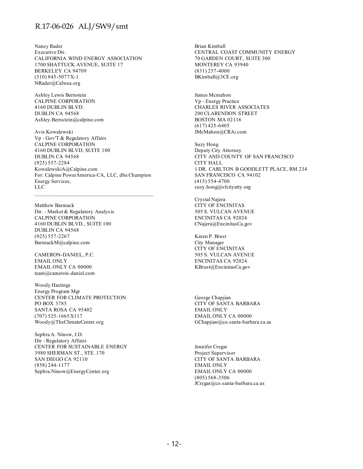Nancy Rader Executive Dir. CALIFORNIA WIND ENERGY ASSOCIATION 1700 SHATTUCK AVENUE, SUITE 17 BERKELEY CA 94709 (510) 845-5077 X-1 NRader@Calwea.org

Ashley Lewis Bernstein CALPINE CORPORATION 4160 DUBLIN BLVD. DUBLIN CA 94568 Ashley.Bernstein@calpine.com

Avis Kowalewski Vp - Gov'T & Regulatory Affairs CALPINE CORPORATION 4160 DUBLIN BLVD, SUITE 100 DUBLIN CA 94568 (925) 557-2284 KowalewskiA@Calpine.com For: Calpine PowerAmerica-CA, LLC, dba Champion Energy Services, LLC

Matthew Barmack Dir. - Market & Regulatory Analysis CALPINE CORPORATION 4160 DUBLIN BLVD., SUITE 100 DUBLIN CA 94568 (925) 557-2267 BarmackM@calpine.com

CAMERON-DANIEL, P.C. EMAIL ONLY EMAIL ONLY CA 00000 team@cameron-daniel.com

Woody Hastings Energy Program Mgr CENTER FOR CLIMATE PROTECTION PO BOX 3785 SANTA ROSA CA 95402 (707) 525-1665 X117 Woody@TheClimateCenter.org

Sephra A. Ninow, J.D. Dir - Regulatory Affairs CENTER FOR SUSTAINABLE ENERGY 3980 SHERMAN ST., STE. 170 SAN DIEGO CA 92110 (858) 244-1177 Sephra.Ninow@EnergyCenter.org

Brian Kimball CENTRAL COAST COMMUNITY ENERGY 70 GARDEN COURT, SUITE 300 MONTEREY CA 93940 (831) 257-4000 BKimball@3CE.org

James Mcmahon Vp - Energy Practice CHARLES RIVER ASSOCIATES 200 CLARENDON STREET BOSTON MA 02116 (617) 425-6405 JMcMahon@CRAi.com

Suzy Hong Deputy City Attorney CITY AND COUNTY OF SAN FRANCISCO CITY HALL 1 DR. CARLTON B GOODLETT PLACE, RM 234 SAN FRANCISCO CA 94102 (415) 554-4700 suzy.hong@sfcityatty.org

Crystal Najera CITY OF ENCINITAS 505 S. VULCAN AVENUE ENCINITAS CA 92024 CNajera@EncinitasCa.gov

Karen P. Brust City Manager CITY OF ENCINITAS 505 S. VULCAN AVENUE ENCINITAS CA 92024 KBrust@EncinitasCa.gov

George Chapjian CITY OF SANTA BARBARA EMAIL ONLY EMAIL ONLY CA 00000 GChapjian@co.santa-barbara.ca.us

Jennifer Cregar Project Supervisor CITY OF SANTA BARBARA EMAIL ONLY EMAIL ONLY CA 00000 (805) 568-3506 JCregar@co.santa-barbara.ca.us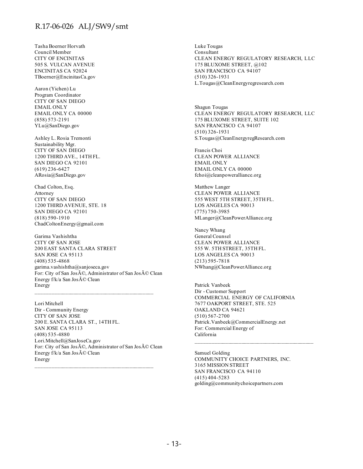Tasha Boerner Horvath Council Member CITY OF ENCINITAS 505 S. VULCAN AVENUE ENCINITAS CA 92024 TBoerner@EncinitasCa.gov

Aaron (Yichen) Lu Program Coordinator CITY OF SAN DIEGO EMAIL ONLY EMAIL ONLY CA 00000 (858) 573-2191 YLu@SanDiego.gov

Ashley L. Rosia Tremonti Sustainability Mgr. CITY OF SAN DIEGO 1200 THIRD AVE., 14TH FL. SAN DIEGO CA 92101 (619) 236-6427 ARosia@SanDiego.gov

Chad Colton, Esq. Attorney CITY OF SAN DIEGO 1200 THIRD AVENUE, STE. 18 SAN DIEGO CA 92101 (818) 590-1910 ChadColtonEnergy@gmail.com

Garima Vashishtha CITY OF SAN JOSE 200 EAST SANTA CLARA STREET SAN JOSE CA 95113 (408) 535-4868 garima.vashishtha@sanjoseca.gov For: City of San Jos $\widetilde{A}$ ©, Administrator of San Jos $\widetilde{A}$ © Clean Energy f/k/a San Jos $\tilde{A}$ © Clean Energy

Lori Mitchell Dir - Community Energy CITY OF SAN JOSE 200 E. SANTA CLARA ST., 14TH FL. SAN JOSE CA 95113 (408) 535-4880 Lori.Mitchell@SanJoseCa.gov For: City of San José, Administrator of San José Clean Energy  $f/k/a$  San Jos $\tilde{A}$ © Clean Energy  $\mathcal{L}_\text{max}$  and the contract of the contract of the contract of the contract of the contract of the contract of the contract of the contract of the contract of the contract of the contract of the contract of the contrac

Luke Tougas Consultant CLEAN ENERGY REGULATORY RESEARCH, LLC 175 BLUXOME STREET, @102 SAN FRANCISCO CA 94107 (510) 326-1931 L.Tougas@CleanEnergyregresearch.com

Shagun Tougas CLEAN ENERGY REGULATORY RESEARCH, LLC 175 BLUXOME STREET, SUITE 102 SAN FRANCISCO CA 94107 (510) 326-1931 S.Tougas@CleanEnergyregResearch.com

Francis Choi CLEAN POWER ALLIANCE EMAIL ONLY EMAIL ONLY CA 00000 fchoi@cleanpoweralliance.org

Matthew Langer CLEAN POWER ALLIANCE 555 WEST 5TH STREET, 35TH FL. LOS ANGELES CA 90013 (775) 750-3985 MLanger@CleanPowerAlliance.org

Nancy Whang General Counsel CLEAN POWER ALLIANCE 555 W. 5TH STREET, 35TH FL. LOS ANGELES CA 90013 (213) 595-7818 NWhang@CleanPowerAlliance.org

Patrick Vanbeek Dir - Customer Support COMMERCIAL ENERGY OF CALIFORNIA 7677 OAKPORT STREET, STE. 525 OAKLAND CA 94621 (510) 567-2700 Patrick.Vanbeek@CommercialEnergy.net For: Commercial Energy of California

Samuel Golding COMMUNITY CHOICE PARTNERS, INC. 3165 MISSION STREET SAN FRANCISCO CA 94110 (415) 404-5283 golding@communitychoicepartners.com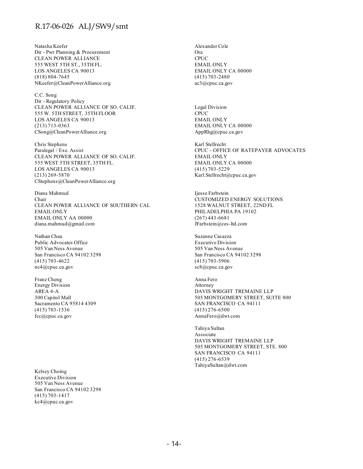Natasha Keefer Dir - Pwr Planning & Procurement CLEAN POWER ALLIANCE 555 WEST 5TH ST., 35TH FL. LOS ANGELES CA 90013 (818) 804-7645 NKeefer@CleanPowerAlliance.org

C.C. Song Dir - Regulatory Policy CLEAN POWER ALLIANCE OF SO. CALIF. 555 W. 5TH STREET, 35TH FLOOR LOS ANGELES CA 90013 (213) 713-0363 CSong@CleanPowerAlliance.org

Chris Stephens Paralegal / Exe. Assist CLEAN POWER ALLIANCE OF SO. CALIF. 555 WEST 5TH STREET, 35TH FL. LOS ANGELES CA 90013 (213) 269-5870 CStephens@CleanPowerAlliance.org

Diana Mahmud Chair CLEAN POWER ALLIANCE OF SOUTHERN CAL EMAIL ONLY EMAIL ONLY AA 00000 diana.mahmud@gmail.com

Nathan Chau Public Advocates Office 505 Van Ness Avenue San Francisco CA 94102 3298 (415) 703-4622 nc4@cpuc.ca.gov

Franz Cheng Energy Division AREA 4-A 300 Capitol Mall Sacramento CA 95814 4309 (415) 703-1536 fcc@cpuc.ca.gov

Kelsey Choing Executive Division 505 Van Ness Avenue San Francisco CA 94102 3298 (415) 703-1417 kc4@cpuc.ca.gov

Alexander Cole Ora **CPUC** EMAIL ONLY EMAIL ONLY CA 00000 (415) 703-2480 ac3@cpuc.ca.gov

Legal Division CPUC EMAIL ONLY EMAIL ONLY CA 00000 AppRhg@cpuc.ca.gov

Karl Stellrecht CPUC - OFFICE OF RATEPAYER ADVOCATES EMAIL ONLY EMAIL ONLY CA 00000 (415) 703-5229 Karl.Stellrecht@cpuc.ca.gov

Ijesse Farbstein CUSTOMIZED ENERGY SOLUTIONS 1528 WALNUT STREET, 22ND FL PHILADELPHIA PA 19102 (267) 443-6681 JFarbstein@ces-ltd.com

Suzanne Casazza Executive Division 505 Van Ness Avenue San Francisco CA 94102 3298 (415) 703-5906 sc8@cpuc.ca.gov

Anna Fero Attorney DAVIS WRIGHT TREMAINE LLP 505 MONTGOMERY STREET, SUITE 800 SAN FRANCISCO CA 94111 (415) 276-6500 AnnaFero@dwt.com

Tahiya Sultan Associate DAVIS WRIGHT TREMAINE LLP 505 MONTGOMERY STREET, STE. 800 SAN FRANCISCO CA 94111 (415) 276-6539 TahiyaSultan@dwt.com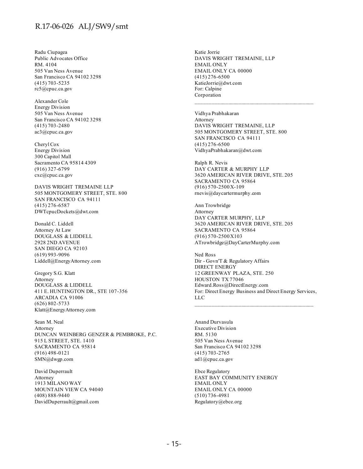Radu Ciupagea Public Advocates Office RM. 4104 505 Van Ness Avenue San Francisco CA 94102 3298 (415) 703-5235 rc5@cpuc.ca.gov

Alexander Cole Energy Division 505 Van Ness Avenue San Francisco CA 94102 3298 (415) 703-2480 ac3@cpuc.ca.gov

Cheryl Cox Energy Division 300 Capitol Mall Sacramento CA 95814 4309 (916) 327-6799 cxc@cpuc.ca.gov

DAVIS WRIGHT TREMAINE LLP 505 MONTGOMERY STREET, STE. 800 SAN FRANCISCO CA 94111 (415) 276-6587 DWTcpucDockets@dwt.com

Donald C. Liddell Attorney At Law DOUGLASS & LIDDELL 2928 2ND AVENUE SAN DIEGO CA 92103 (619) 993-9096 Liddell@EnergyAttorney.com

Gregory S.G. Klatt Attorney DOUGLASS & LIDDELL 411 E. HUNTINGTON DR., STE 107-356 ARCADIA CA 91006 (626) 802-5733 Klatt@EnergyAttorney.com

Sean M. Neal Attorney DUNCAN WEINBERG GENZER & PEMBROKE, P.C. 915 L STREET, STE. 1410 SACRAMENTO CA 95814 (916) 498-0121 SMN@dwgp.com

David Duperrault Attorney 1913 MILANO WAY MOUNTAIN VIEW CA 94040 (408) 888-9440 DavidDuperrault@gmail.com

Katie Jorrie DAVIS WRIGHT TREMAINE, LLP EMAIL ONLY EMAIL ONLY CA 00000 (415) 276-6500 KatieJorrie@dwt.com For: Calpine Corporation

Vidhya Prabhakaran Attorney DAVIS WRIGHT TREMAINE, LLP 505 MONTGOMERY STREET, STE. 800 SAN FRANCISCO CA 94111 (415) 276-6500 VidhyaPrabhakaran@dwt.com

Ralph R. Nevis DAY CARTER & MURPHY LLP 3620 AMERICAN RIVER DRIVE, STE. 205 SACRAMENTO CA 95864 (916) 570-2500 X-109 rnevis@daycartermurphy.com

Ann Trowbridge Attorney DAY CARTER MURPHY, LLP 3620 AMERICAN RIVER DRIVE, STE. 205 SACRAMENTO CA 95864 (916) 570-2500 X103 ATrowbridge@DayCarterMurphy.com

Ned Ross Dir - Govn'T & Regulatory Affairs DIRECT ENERGY 12 GREENWAY PLAZA, STE. 250 HOUSTON TX 77046 Edward.Ross@DirectEnergy.com For: Direct Energy Business and Direct Energy Services, LLC

Anand Durvasula Executive Division RM. 5130 505 Van Ness Avenue San Francisco CA 94102 3298 (415) 703-2765 ad1@cpuc.ca.gov

Ebce Regulatory EAST BAY COMMUNITY ENERGY EMAIL ONLY EMAIL ONLY CA 00000 (510) 736-4981 Regulatory@ebce.org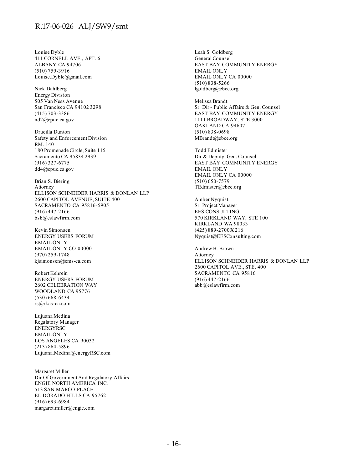Louise Dyble 411 CORNELL AVE., APT. 6 ALBANY CA 94706 (510) 759-3916 Louise.Dyble@gmail.com

Nick Dahlberg Energy Division 505 Van Ness Avenue San Francisco CA 94102 3298 (415) 703-3386 nd2@cpuc.ca.gov

Drucilla Dunton Safety and Enforcement Division RM. 140 180 Promenade Circle, Suite 115 Sacramento CA 95834 2939 (916) 327-6775 dd4@cpuc.ca.gov

Brian S. Biering Attorney ELLISON SCHNEIDER HARRIS & DONLAN LLP 2600 CAPITOL AVENUE, SUITE 400 SACRAMENTO CA 95816-5905 (916) 447-2166 bsb@eslawfirm.com

Kevin Simonsen ENERGY USERS FORUM EMAIL ONLY EMAIL ONLY CO 00000 (970) 259-1748 kjsimonsen@ems-ca.com

Robert Kehrein ENERGY USERS FORUM 2602 CELEBRATION WAY WOODLAND CA 95776 (530) 668-6434 rs@rkas-ca.com

Lujuana Medina Regulatory Manager ENERGYRSC EMAIL ONLY LOS ANGELES CA 90032 (213) 864-5896 Lujuana.Medina@energyRSC.com

Margaret Miller Dir Of Government And Regulatory Affairs ENGIE NORTH AMERICA INC. 513 SAN MARCO PLACE EL DORADO HILLS CA 95762 (916) 693-6984 margaret.miller@engie.com

Leah S. Goldberg General Counsel EAST BAY COMMUNITY ENERGY EMAIL ONLY EMAIL ONLY CA 00000 (510) 838-5266 lgoldberg@ebce.org

Melissa Brandt Sr. Dir - Public Affairs & Gen. Counsel EAST BAY COMMUNITY ENERGY 1111 BROADWAY, STE 3000 OAKLAND CA 94607 (510) 838-0698 MBrandt@ebce.org

Todd Edmister Dir & Deputy Gen. Counsel EAST BAY COMMUNITY ENERGY EMAIL ONLY EMAIL ONLY CA 00000 (510) 650-7579 TEdmister@ebce.org

Amber Nyquist Sr. Project Manager EES CONSULTING 570 KIRKLAND WAY, STE 100 KIRKLAND WA 98033 (425) 889-2700 X 216 Nyquist@EESConsulting.com

Andrew B. Brown Attorney ELLISON SCHNEIDER HARRIS & DONLAN LLP 2600 CAPITOL AVE., STE. 400 SACRAMENTO CA 95816 (916) 447-2166 abb@eslawfirm.com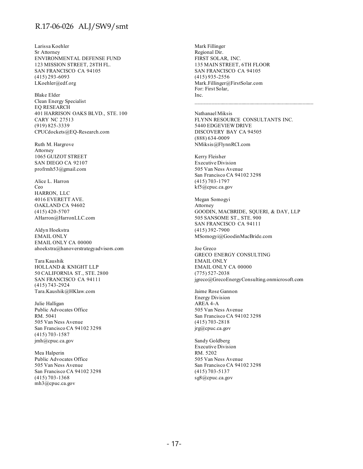Larissa Koehler Sr Attorney ENVIRONMENTAL DEFENSE FUND 123 MISSION STREET, 28TH FL. SAN FRANCISCO CA 94105 (415) 293-6093 LKoehler@edf.org

Blake Elder Clean Energy Specialist EQ RESEARCH 401 HARRISON OAKS BLVD., STE. 100 CARY NC 27513 (919) 825-3339 CPUCdockets@EQ-Research.com

Ruth M. Hargrove Attorney 1065 GUIZOT STREET SAN DIEGO CA 92107 profrmh53@gmail.com

Alice L. Harron Ceo HARRON, LLC 4016 EVERETT AVE. OAKLAND CA 94602 (415) 420-5707 AHarron@HarronLLC.com

Aldyn Hoekstra EMAIL ONLY EMAIL ONLY CA 00000 ahoekstra@hanoverstrategyadvisors.com

Tara Kaushik HOLLAND & KNIGHT LLP 50 CALIFORNIA ST., STE. 2800 SAN FRANCISCO CA 94111 (415) 743-2924 Tara.Kaushik@HKlaw.com

Julie Halligan Public Advocates Office RM. 5041 505 Van Ness Avenue San Francisco CA 94102 3298 (415) 703-1587 jmh@cpuc.ca.gov

Mea Halperin Public Advocates Office 505 Van Ness Avenue San Francisco CA 94102 3298 (415) 703-1368 mh3@cpuc.ca.gov

Mark Fillinger Regional Dir. FIRST SOLAR, INC. 135 MAIN STREET, 6TH FLOOR SAN FRANCISCO CA 94105 (415) 935-2556 Mark.Fillinger@FirstSolar.com For: First Solar, Inc.

Nathanael Miksis FLYNN RESOURCE CONSULTANTS INC. 5440 EDGEVIEW DRIVE DISCOVERY BAY CA 94505 (888) 634-0009 NMiksis@FlynnRCI.com

Kerry Fleisher Executive Division 505 Van Ness Avenue San Francisco CA 94102 3298 (415) 703-1797 kf5@cpuc.ca.gov

Megan Somogyi Attorney GOODIN, MACBRIDE, SQUERI, & DAY, LLP 505 SANSOME ST., STE. 900 SAN FRANCISCO CA 94111 (415) 392-7900 MSomogyi@GoodinMacBride.com

Joe Greco GRECO ENERGY CONSULTING EMAIL ONLY EMAIL ONLY CA 00000 (775) 527-2038 jgreco@GrecoEnergyConsulting.onmicrosoft.com

Jaime Rose Gannon Energy Division AREA 4-A 505 Van Ness Avenue San Francisco CA 94102 3298 (415) 703-2818 jrg@cpuc.ca.gov

Sandy Goldberg Executive Division RM. 5202 505 Van Ness Avenue San Francisco CA 94102 3298 (415) 703-5137 sg8@cpuc.ca.gov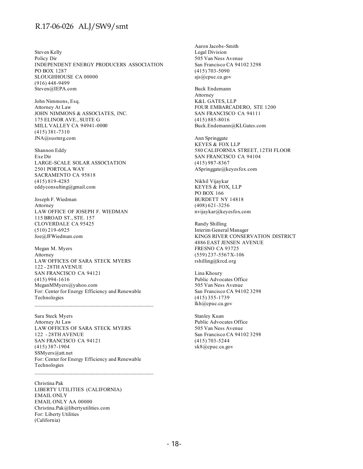Steven Kelly Policy Dir INDEPENDENT ENERGY PRODUCERS ASSOCIATION PO BOX 1287 SLOUGHHOUSE CA 00000 (916) 448-9499 Steven@IEPA.com

John Nimmons, Esq. Attorney At Law JOHN NIMMONS & ASSOCIATES, INC. 175 ELINOR AVE., SUITE G MILL VALLEY CA 94941-0000 (415) 381-7310 JNA@sustnrg.com

Shannon Eddy Exe Dir LARGE-SCALE SOLAR ASSOCIATION 2501 PORTOLA WAY SACRAMENTO CA 95818 (415) 819-4285 eddyconsulting@gmail.com

Joseph F. Wiedman Attorney LAW OFFICE OF JOSEPH F. WIEDMAN 115 BROAD ST., STE. 157 CLOVERDALE CA 95425 (510) 219-6925 Joe@JFWiedman.com

Megan M. Myers Attorney LAW OFFICES OF SARA STECK MYERS 122 - 28TH AVENUE SAN FRANCISCO CA 94121 (415) 994-1616 MeganMMyers@yahoo.com For: Center for Energy Efficiency and Renewable Technologies

Sara Steck Myers Attorney At Law LAW OFFICES OF SARA STECK MYERS 122 - 28TH AVENUE SAN FRANCISCO CA 94121 (415) 387-1904 SSMyers@att.net For: Center for Energy Efficiency and Renewable Technologies

 $\mathcal{L}_\text{max}$  and the contract of the contract of the contract of the contract of the contract of the contract of the contract of the contract of the contract of the contract of the contract of the contract of the contrac

Christina Pak LIBERTY UTILITIES (CALIFORNIA) EMAIL ONLY EMAIL ONLY AA 00000 Christina.Pak@libertyutilities.com For: Liberty Utilities (California)

Aaron Jacobs-Smith Legal Division 505 Van Ness Avenue San Francisco CA 94102 3298 (415) 703-5090 ajs@cpuc.ca.gov

Buck Endemann Attorney K&L GATES, LLP FOUR EMBARCADERO, STE 1200 SAN FRANCISCO CA 94111 (415) 885-8016 Buck.Endemann@KLGates.com

Ann Springgate KEYES & FOX LLP 580 CALIFORNIA STREET, 12TH FLOOR SAN FRANCISCO CA 94104 (415) 987-8367 ASpringgate@keyesfox.com

Nikhil Vijaykar KEYES & FOX, LLP PO BOX 166 BURDETT NY 14818 (408) 621-3256 nvijaykar@keyesfox.com

Randy Shilling Interim General Manager KINGS RIVER CONSERVATION DISTRICT 4886 EAST JENSEN AVENUE FRESNO CA 93725 (559) 237-5567 X-106 rshilling@krcd.org

Lina Khoury Public Advocates Office 505 Van Ness Avenue San Francisco CA 94102 3298 (415) 355-1739 lkh@cpuc.ca.gov

Stanley Kuan Public Advocates Office 505 Van Ness Avenue San Francisco CA 94102 3298 (415) 703-5244 sk8@cpuc.ca.gov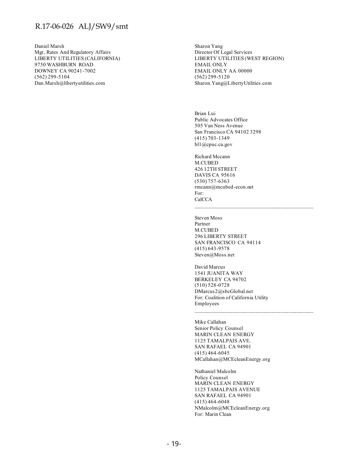Daniel Marsh Mgr, Rates And Regulatory Affairs LIBERTY UTILITIES (CALIFORNIA) 9750 WASHBURN ROAD DOWNEY CA 90241-7002 (562) 299-5104 Dan.Marsh@libertyutilities.com

Sharon Yang Director Of Legal Services LIBERTY UTILITIES (WEST REGION) EMAIL ONLY EMAIL ONLY AA 00000 (562) 299-5120 Sharon.Yang@LibertyUtilities.com

Brian Lui Public Advocates Office 505 Van Ness Avenue San Francisco CA 94102 3298 (415) 703-1349 bl1@cpuc.ca.gov

Richard Mccann M.CUBED 426 12TH STREET DAVIS CA 95616 (530) 757-6363 rmcann@mcubed-econ.net For: CalCCA

Steven Moss Partner M.CUBED 296 LIBERTY STREET SAN FRANCISCO CA 94114 (415) 643-9578 Steven@Moss.net

David Marcus 1541 JUANITA WAY BERKELEY CA 94702 (510) 528-0728 DMarcus2@sbcGlobal.net For: Coalition of California Utility Employees

 $\mathcal{L}_\text{max}$  and the contract of the contract of the contract of the contract of the contract of the contract of the contract of the contract of the contract of the contract of the contract of the contract of the contrac

Mike Callahan Senior Policy Counsel MARIN CLEAN ENERGY 1125 TAMALPAIS AVE. SAN RAFAEL CA 94901 (415) 464-6045 MCallahan@MCEcleanEnergy.org

Nathaniel Malcolm Policy Counsel MARIN CLEAN ENERGY 1125 TAMALPAIS AVENUE SAN RAFAEL CA 94901 (415) 464-6048 NMalcolm@MCEcleanEnergy.org For: Marin Clean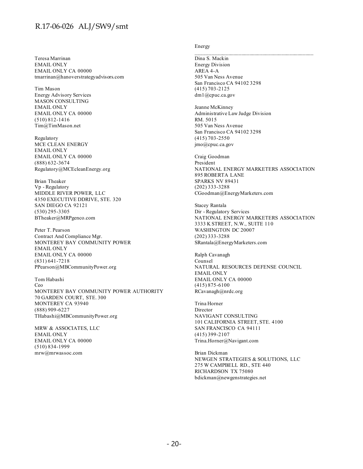Teresa Marrinan EMAIL ONLY EMAIL ONLY CA 00000 tmarrinan@hanoverstrategyadvisors.com

Tim Mason Energy Advisory Services MASON CONSULTING EMAIL ONLY EMAIL ONLY CA 00000 (510) 812-1416 Tim@TimMason.net

Regulatory MCE CLEAN ENERGY EMAIL ONLY EMAIL ONLY CA 00000 (888) 632-3674 Regulatory@MCEcleanEnergy.org

Brian Theaker Vp - Regulatory MIDDLE RIVER POWER, LLC 4350 EXECUTIVE DDRIVE, STE. 320 SAN DIEGO CA 92121 (530) 295-3305 BTheaker@MRPgenco.com

Peter T. Pearson Contract And Compliance Mgr. MONTEREY BAY COMMUNITY POWER EMAIL ONLY EMAIL ONLY CA 00000 (831) 641-7218 PPearson@MBCommunityPower.org

Tom Habashi Ceo MONTEREY BAY COMMUNITY POWER AUTHORITY 70 GARDEN COURT, STE. 300 MONTEREY CA 93940 (888) 909-6227 THabashi@MBCommunityPower.org

MRW & ASSOCIATES, LLC EMAIL ONLY EMAIL ONLY CA 00000 (510) 834-1999 mrw@mrwassoc.com

#### Energy

Dina S. Mackin Energy Division AREA 4-A 505 Van Ness Avenue San Francisco CA 94102 3298 (415) 703-2125 dm1@cpuc.ca.gov

Jeanne McKinney Administrative Law Judge Division RM. 5015 505 Van Ness Avenue San Francisco CA 94102 3298 (415) 703-2550 jmo@cpuc.ca.gov

Craig Goodman President NATIONAL ENERGY MARKETERS ASSOCIATION 895 ROBERTA LANE SPARKS NV 89431 (202) 333-3288 CGoodman@EnergyMarketers.com

Stacey Rantala Dir - Regulatory Services NATIONAL ENERGY MARKETERS ASSOCIATION 3333 K STREET, N.W., SUITE 110 WASHINGTON DC 20007 (202) 333-3288 SRantala@EnergyMarketers.com

Ralph Cavanagh Counsel NATURAL RESOURCES DEFENSE COUNCIL EMAIL ONLY EMAIL ONLY CA 00000 (415) 875-6100 RCavanagh@nrdc.org

Trina Horner Director NAVIGANT CONSULTING 101 CALIFORNIA STREET, STE. 4100 SAN FRANCISCO CA 94111 (415) 399-2107 Trina.Horner@Navigant.com

Brian Dickman NEWGEN STRATEGIES & SOLUTIONS, LLC 275 W CAMPBELL RD., STE 440 RICHARDSON TX 75080 bdickman@newgenstrategies.net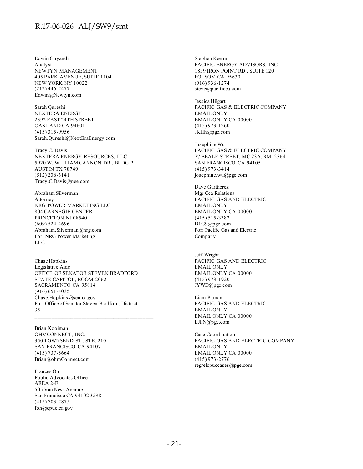Edwin Guyandi Analyst NEWTYN MANAGEMENT 405 PARK AVENUE, SUITE 1104 NEW YORK NY 10022 (212) 446-2477 Edwin@Newtyn.com

Sarah Qureshi NEXTERA ENERGY 2392 EAST 24TH STREET OAKLAND CA 94601 (415) 315-9956 Sarah.Qureshi@NextEraEnergy.com

Tracy C. Davis NEXTERA ENERGY RESOURCES, LLC 5920 W. WILLIAM CANNON DR., BLDG 2 AUSTIN TX 78749 (512) 236-3141 Tracy.C.Davis@nee.com

Abraham Silverman Attorney NRG POWER MARKETING LLC 804 CARNEGIE CENTER PRINCETON NJ 08540 (609) 524-4696 Abraham.Silverman@nrg.com For: NRG Power Marketing LLC

Chase Hopkins Legislative Aide OFFICE OF SENATOR STEVEN BRADFORD STATE CAPITOL, ROOM 2062 SACRAMENTO CA 95814 (916) 651-4035 Chase.Hopkins@sen.ca.gov For: Office of Senator Steven Bradford, District 35

 $\mathcal{L}_\text{max}$  and the contract of the contract of the contract of the contract of the contract of the contract of the contract of the contract of the contract of the contract of the contract of the contract of the contrac

Brian Kooiman OHMCONNECT, INC. 350 TOWNSEND ST., STE. 210 SAN FRANCISCO CA 94107 (415) 737-5664 Brian@ohmConnect.com

Frances Oh Public Advocates Office AREA 2-E 505 Van Ness Avenue San Francisco CA 94102 3298 (415) 703-2875 foh@cpuc.ca.gov

Stephen Keehn PACIFIC ENERGY ADVISORS, INC 1839 IRON POINT RD., SUITE 120 FOLSOM CA 95630 (916) 936-1274 steve@pacificea.com

Jessica Hilgart PACIFIC GAS & ELECTRIC COMPANY EMAIL ONLY EMAIL ONLY CA 00000 (415) 973-1260 JKHh@pge.com

Josephine Wu PACIFIC GAS & ELECTRIC COMPANY 77 BEALE STREET, MC 23A, RM 2364 SAN FRANCISCO CA 94105 (415) 973-3414 josephine.wu@pge.com

Dave Guittierez Mgr Cca Relations PACIFIC GAS AND ELECTRIC EMAIL ONLY EMAIL ONLY CA 00000 (415) 515-3382 D1G9@pge.com For: Pacific Gas and Electric Company

Jeff Wright PACIFIC GAS AND ELECTRIC EMAIL ONLY EMAIL ONLY CA 00000 (415) 973-1920 JYWD@pge.com

Liam Pitman PACIFIC GAS AND ELECTRIC EMAIL ONLY EMAIL ONLY CA 00000 LJPN@pge.com

Case Coordination PACIFIC GAS AND ELECTRIC COMPANY EMAIL ONLY EMAIL ONLY CA 00000 (415) 973-2776 regrelcpuccases@pge.com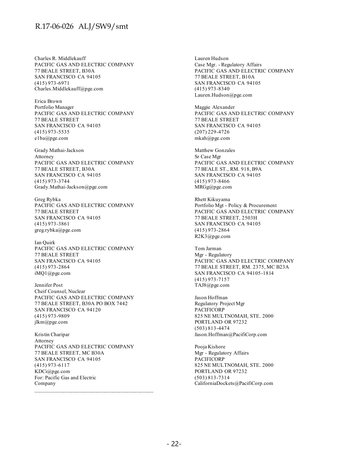Charles R. Middlekauff PACIFIC GAS AND ELECTRIC COMPANY 77 BEALE STREET, B30A SAN FRANCISCO CA 94105 (415) 973-6971 Charles.Middlekauff@pge.com

Erica Brown Portfolio Manager PACIFIC GAS AND ELECTRIC COMPANY 77 BEALE STREET SAN FRANCISCO CA 94105 (415) 973-5535 e1ba@pge.com

Grady Mathai-Jackson Attorney PACIFIC GAS AND ELECTRIC COMPANY 77 BEALE STREET, B30A SAN FRANCISCO CA 94105 (415) 973-3744 Grady.Mathai-Jackson@pge.com

Greg Rybka PACIFIC GAS AND ELECTRIC COMPANY 77 BEALE STREET SAN FRANCISCO CA 94105 (415) 973-3861 greg.rybka@pge.com

Ian Quirk PACIFIC GAS AND ELECTRIC COMPANY 77 BEALE STREET SAN FRANCISCO CA 94105 (415) 973-2864 iMQ1@pge.com

Jennifer Post Cheif Counsel, Nuclear PACIFIC GAS AND ELECTRIC COMPANY 77 BEALE STREET, B30A PO BOX 7442 SAN FRANCISCO CA 94120 (415) 973-9809 jlkm@pge.com

Kristin Charipar Attorney PACIFIC GAS AND ELECTRIC COMPANY 77 BEALE STREET, MC B30A SAN FRANCISCO CA 94105 (415) 973-6117 KDCi@pge.com For: Pacific Gas and Electric Company

Lauren Hudson Case Mgr. - Regulatory Affairs PACIFIC GAS AND ELECTRIC COMPANY 77 BEALE STREET, B10A SAN FRANCISCO CA 94105 (415) 973-8340 Lauren.Hudson@pge.com

Maggie Alexander PACIFIC GAS AND ELECTRIC COMPANY 77 BEALE STREET SAN FRANCISCO CA 94105 (207) 229-4726 mkah@pge.com

Matthew Gonzales Sr Case Mgr PACIFIC GAS AND ELECTRIC COMPANY 77 BEALE ST., RM. 918, B9A SAN FRANCISCO CA 94105 (415) 973-8466 MRGg@pge.com

Rhett Kikuyama Portfolio Mgt - Policy & Procurement PACIFIC GAS AND ELECTRIC COMPANY 77 BEALE STREET, 2503H SAN FRANCISCO CA 94105 (415) 973-2864 R2K3@pge.com

Tom Jarman Mgr - Regulatory PACIFIC GAS AND ELECTRIC COMPANY 77 BEALE STREET, RM. 2375, MC B23A SAN FRANCISCO CA 94105-1814 (415) 973-7157 TAJ8@pge.com

Jason Hoffman Regulatory Project Mgr PACIFICORP 825 NE MULTNOMAH, STE. 2000 PORTLAND OR 97232 (503) 813-4474 Jason.Hoffman@PacifiCorp.com

Pooja Kishore Mgr - Regulatory Affairs PACIFICORP 825 NE MULTNOMAH, STE. 2000 PORTLAND OR 97232 (503) 813-7314 CaliforniaDockets@PacifiCorp.com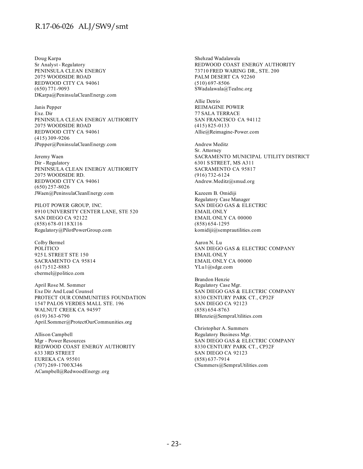Doug Karpa Sr Analyst - Regulatory PENINSULA CLEAN ENERGY 2075 WOODSIDE ROAD REDWOOD CITY CA 94061 (650) 771-9093 DKarpa@PeninsulaCleanEnergy.com

Janis Pepper Exe. Dir PENINSULA CLEAN ENERGY AUTHORITY 2075 WOODSIDE ROAD REDWOOD CITY CA 94061 (415) 309-9206 JPepper@PeninsulaCleanEnergy.com

Jeremy Waen Dir - Regulatory PENINSULA CLEAN ENERGY AUTHORITY 2075 WOODSIDE RD. REDWOOD CITY CA 94061 (650) 257-8026 JWaen@PeninsulaCleanEnergy.com

PILOT POWER GROUP, INC. 8910 UNIVERSITY CENTER LANE, STE 520 SAN DIEGO CA 92122 (858) 678-0118 X116 Regulatory@PilotPowerGroup.com

Colby Bermel POLITICO 925 L STREET STE 150 SACRAMENTO CA 95814 (617) 512-8883 cbermel@politico.com

April Rose M. Sommer Exe Dir And Lead Counsel PROTECT OUR COMMUNITIES FOUNDATION 1547 PALOS VERDES MALL STE. 196 WALNUT CREEK CA 94597 (619) 363-6790 April.Sommer@ProtectOurCommunities.org

Allison Campbell Mgr - Power Resources REDWOOD COAST ENERGY AUTHORITY 633 3RD STREET EUREKA CA 95501 (707) 269-1700 X346 ACampbell@RedwoodEnergy.org

Shehzad Wadalawala REDWOOD COAST ENERGY AUTHORITY 73710 FRED WARING DR., STE. 200 PALM DESERT CA 92260 (510) 697-8506 SWadalawala@TeaInc.org

Allie Detrio REIMAGINE POWER 77 SALA TERRACE SAN FRANCISCO CA 94112 (415) 825-0133 Allie@Reimagine-Power.com

Andrew Meditz Sr. Attorney SACRAMENTO MUNICIPAL UTILITY DISTRICT 6301 S STREET, MS A311 SACRAMENTO CA 95817 (916) 732-6124 Andrew.Meditz@smud.org

Kazeem B. Omidiji Regulatory Case Manager SAN DIEGO GAS & ELECTRIC EMAIL ONLY EMAIL ONLY CA 00000 (858) 654-1295 komidiji@semprautilities.com

Aaron N. Lu SAN DIEGO GAS & ELECTRIC COMPANY EMAIL ONLY EMAIL ONLY CA 00000 YLu1@sdge.com

Brandon Henzie Regulatory Case Mgr. SAN DIEGO GAS & ELECTRIC COMPANY 8330 CENTURY PARK CT., CP32F SAN DIEGO CA 92123 (858) 654-8763 BHenzie@SempraUtilities.com

Christopher A. Summers Regulatory Business Mgr. SAN DIEGO GAS & ELECTRIC COMPANY 8330 CENTURY PARK CT., CP32F SAN DIEGO CA 92123 (858) 637-7914 CSummers@SempraUtilities.com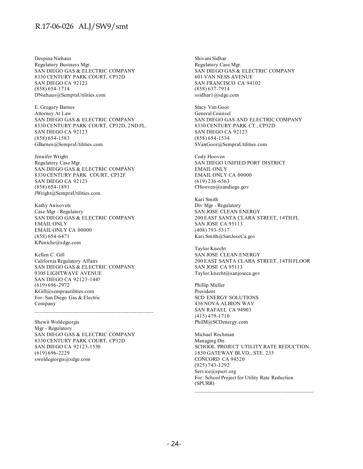Despina Niehaus Regulatory Business Mgr. SAN DIEGO GAS & ELECTRIC COMPANY 8330 CENTURY PARK COURT, CP32D SAN DIEGO CA 92123 (858) 654-1714 DNiehaus@SempraUtilities.com

E. Gregory Barnes Attorney At Law SAN DIEGO GAS & ELECTRIC COMPANY 8330 CENTURY PARK COURT, CP32D, 2ND FL. SAN DIEGO CA 92123 (858) 654-1583 GBarnes@SempraUtilities.com

Jennifer Wright Regulatory Case Mgr. SAN DIEGO GAS & ELECTRIC COMPANY 8330 CENTURY PARK COURT, CP32F SAN DIEGO CA 92123 (858) 654-1891 JWright@SempraUtilities.com

Kathy Anisovets Case Mgr - Regulatory SAN DIEGO GAS & ELECTRIC COMPANY EMAIL ONLY EMAIL ONLY CA 00000 (858) 654-6471 KPeniche@sdge.com

Kellen C. Gill California Regulatory Affairs SAN DIEGO GAS & ELECTRIC COMPANY 9305 LIGHTWAVE AVENUE SAN DIEGO CA 92123-1447 (619) 696-2972 KGill@semprautilities.com For: San Diego Gas & Electric Company

 $\mathcal{L}_\text{max}$  and the contract of the contract of the contract of the contract of the contract of the contract of the contract of the contract of the contract of the contract of the contract of the contract of the contrac

Shewit Woldegiorgis Mgr - Regulatory SAN DIEGO GAS & ELECTRIC COMPANY 8330 CENTURY PARK COURT, CP32D SAN DIEGO CA 92123-1530 (619) 696-2229 swoldegiorgis@sdge.com

Shivani Sidhar Regulatory Case Mgr. SAN DIEGO GAS & ELECTRIC COMPANY 601 VAN NESS AVENUE SAN FRANCISCO CA 94102 (858) 637-7914 ssidhar1@sdge.com

Stacy Van Goor General Counsel SAN DIEGO GAS AND ELECTRIC COMPANY 8330 CENTURY PARK CT., CP32D SAN DIEGO CA 92123 (858) 654-1534 SVanGoor@SempraUtilities.com

Cody Hooven SAN DIEGO UNIFIED PORT DISTRICT EMAIL ONLY EMAIL ONLY CA 00000 (619) 236-6563 CHooven@sandiego.gov

Kari Smith Div Mgr - Regulatory SAN JOSE CLEAN ENERGY 200 EAST SANTA CLARA STREET, 14TH FL SAN JOSE CA 95113 (408) 793-5317 Kari.Smith@SanJoseCa.gov

Taylor Knecht SAN JOSE CLEAN ENERGY 200 EAST SANTA CLARA STREET, 14TH FLOOR SAN JOSE CA 95113 Taylor.knecht@sanjoseca.gov

Phillip Muller President SCD ENERGY SOLUTIONS 436 NOVA ALBION WAY SAN RAFAEL CA 94903 (415) 479-1710 PhilM@SCDenergy.com

Michael Rochman Managing Dir. SCHOOL PROJECT UTILITY RATE REDUCTION 1850 GATEWAY BLVD., STE. 235 CONCORD CA 94520 (925) 743-1292 Service@spurr.org For: School Project for Utility Rate Reduction (SPURR)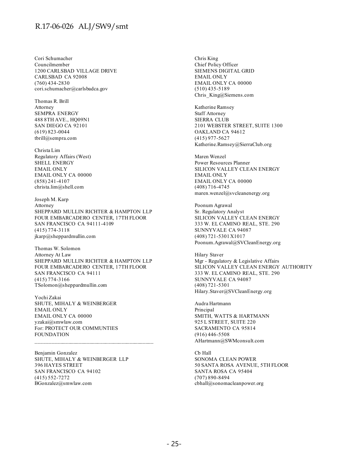Cori Schumacher Councilmember 1200 CARLSBAD VILLAGE DRIVE CARLSBAD CA 92008 (760) 434-2830 cori.schumacher@carlsbadca.gov

Thomas R. Brill Attorney SEMPRA ENERGY 488 8TH AVE., HQ09N1 SAN DIEGO CA 92101 (619) 823-0044 tbrill@sempra.com

Christa Lim Regulatory Affairs (West) SHELL ENERGY EMAIL ONLY EMAIL ONLY CA 00000 (858) 241-4107 christa.lim@shell.com

Joseph M. Karp Attorney SHEPPARD MULLIN RICHTER & HAMPTON LLP FOUR EMBARCADERO CENTER, 17TH FLOOR SAN FRANCISCO CA 94111-4109 (415) 774-3118 jkarp@sheppardmullin.com

Thomas W. Solomon Attorney At Law SHEPPARD MULLIN RICHTER & HAMPTON LLP FOUR EMBARCADERO CENTER, 17TH FLOOR SAN FRANCISCO CA 94111 (415) 774-3166 TSolomon@sheppardmullin.com

Yochi Zakai SHUTE, MIHALY & WEINBERGER EMAIL ONLY EMAIL ONLY CA 00000 yzakai@smwlaw.com For: PROTECT OUR COMMUNTIES FOUNDATION

Benjamin Gonzalez SHUTE, MIHALY & WEINBERGER LLP 396 HAYES STREET SAN FRANCISCO CA 94102 (415) 552-7272 BGonzalez@smwlaw.com

Chris King Chief Policy Officer SIEMENS DIGITAL GRID EMAIL ONLY EMAIL ONLY CA 00000 (510) 435-5189 Chris\_King@Siemens.com

Katherine Ramsey Staff Attorney SIERRA CLUB 2101 WEBSTER STREET, SUITE 1300 OAKLAND CA 94612 (415) 977-5627 Katherine.Ramsey@SierraClub.org

Maren Wenzel Power Resources Planner SILICON VALLEY CLEAN ENERGY EMAIL ONLY EMAIL ONLY CA 00000 (408) 716-4745 maren.wenzel@svcleanenergy.org

Poonum Agrawal Sr. Regulatory Analyst SILICON VALLEY CLEAN ENERGY 333 W. EL CAMINO REAL, STE. 290 SUNNYVALE CA 94087 (408) 721-5301 X1017 Poonum.Agrawal@SVCleanEnergy.org

Hilary Staver Mgr - Regulatory & Legislative Affairs SILICON VALLEY CLEAN ENERGY AUTHORITY 333 W. EL CAMINO REAL, STE. 290 SUNNYVALE CA 94087 (408) 721-5301 Hilary.Staver@SVCleanEnergy.org

Audra Hartmann Principal SMITH, WATTS & HARTMANN 925 L STREET, SUITE 220 SACRAMENTO CA 95814 (916) 446-5508 AHartmann@SWMconsult.com

Cb Hall SONOMA CLEAN POWER 50 SANTA ROSA AVENUE, 5TH FLOOR SANTA ROSA CA 95404 (707) 890-8494 cbhall@sonomacleanpower.org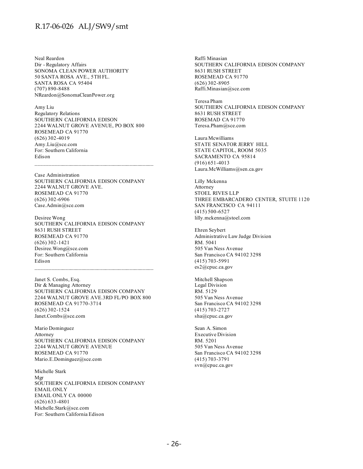Neal Reardon Dir - Regulatory Affairs SONOMA CLEAN POWER AUTHORITY 50 SANTA ROSA AVE., 5TH FL. SANTA ROSA CA 95404 (707) 890-8488 NReardon@SonomaCleanPower.org

Amy Liu Regulatory Relations SOUTHERN CALIFORNIA EDISON 2244 WALNUT GROVE AVENUE, PO BOX 800 ROSEMEAD CA 91770 (626) 302-4019 Amy.Liu@sce.com For: Southern California Edison

Case Administration SOUTHERN CALIFORNIA EDISON COMPANY 2244 WALNUT GROVE AVE. ROSEMEAD CA 91770 (626) 302-6906 Case.Admin@sce.com

 $\mathcal{L}_\text{max}$  and the contract of the contract of the contract of the contract of the contract of the contract of the contract of the contract of the contract of the contract of the contract of the contract of the contrac

Desiree Wong SOUTHERN CALIFORNIA EDISON COMPANY 8631 RUSH STREET ROSEMEAD CA 91770 (626) 302-1421 Desiree.Wong@sce.com For: Southern California Edison  $\mathcal{L}_\text{max}$  and the contract of the contract of the contract of the contract of the contract of the contract of the contract of the contract of the contract of the contract of the contract of the contract of the contrac

Janet S. Combs, Esq. Dir & Managing Attorney SOUTHERN CALIFORNIA EDISON COMPANY 2244 WALNUT GROVE AVE.3RD FL/PO BOX 800 ROSEMEAD CA 91770-3714 (626) 302-1524 Janet.Combs@sce.com

Mario Dominguez Attorney SOUTHERN CALIFORNIA EDISON COMPANY 2244 WALNUT GROVE AVENUE ROSEMEAD CA 91770 Mario.E.Dominguez@sce.com

Michelle Stark Mgr SOUTHERN CALIFORNIA EDISON COMPANY EMAIL ONLY EMAIL ONLY CA 00000 (626) 633-4801 Michelle.Stark@sce.com For: Southern California Edison

Raffi Minasian SOUTHERN CALIFORNIA EDISON COMPANY 8631 RUSH STREET ROSEMEAD CA 91770 (626) 302-8905 Raffi.Minasian@sce.com

Teresa Pham SOUTHERN CALIFORNIA EDISON COMPANY 8631 RUSH STREET ROSEMAD CA 91770 Teresa.Pham@sce.com

Laura Mcwilliams STATE SENATOR JERRY HILL STATE CAPITOL, ROOM 5035 SACRAMENTO CA 95814 (916) 651-4013 Laura.McWilliams@sen.ca.gov

Lilly Mckenna Attorney STOEL RIVES LLP THREE EMBARCADERO CENTER, STUITE 1120 SAN FRANCISCO CA 94111 (415) 500-6527 lilly.mckenna@stoel.com

Ehren Seybert Administrative Law Judge Division RM. 5041 505 Van Ness Avenue San Francisco CA 94102 3298 (415) 703-5991 es2@cpuc.ca.gov

Mitchell Shapson Legal Division RM. 5129 505 Van Ness Avenue San Francisco CA 94102 3298 (415) 703-2727 sha@cpuc.ca.gov

Sean A. Simon Executive Division RM. 5201 505 Van Ness Avenue San Francisco CA 94102 3298 (415) 703-3791 svn@cpuc.ca.gov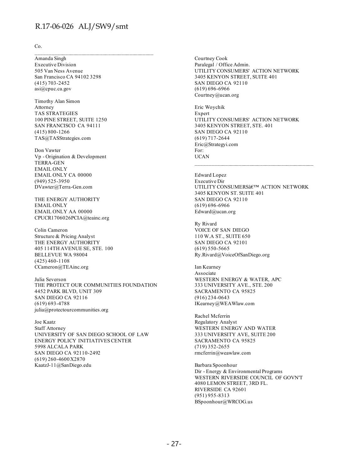Co.

Amanda Singh Executive Division 505 Van Ness Avenue San Francisco CA 94102 3298 (415) 703-2452 asi@cpuc.ca.gov

Timothy Alan Simon Attorney TAS STRATEGIES 100 PINE STREET, SUITE 1250 SAN FRANCISCO CA 94111 (415) 800-1266 TAS@TASStrategies.com

Don Vawter Vp - Origination & Development TERRA-GEN EMAIL ONLY EMAIL ONLY CA 00000 (949) 525-3950 DVawter@Terra-Gen.com

THE ENERGY AUTHORITY EMAIL ONLY EMAIL ONLY AA 00000 CPUCR1706026PCIA@teainc.org

Colin Cameron Structure & Pricing Analyst THE ENERGY AUTHORITY 405 114TH AVENUE SE, STE. 100 BELLEVUE WA 98004 (425) 460-1108 CCameron@TEAinc.org

Julia Severson THE PROTECT OUR COMMUNITIES FOUNDATION 4452 PARK BLVD, UNIT 309 SAN DIEGO CA 92116 (619) 693-4788 julia@protectourcommunities.org

Joe Kaatz Staff Attorney UNIVERSITY OF SAN DIEGO SCHOOL OF LAW ENERGY POLICY INITIATIVES CENTER 5998 ALCALA PARK SAN DIEGO CA 92110-2492 (619) 260-4600 X2870 KaatzJ-11@SanDiego.edu

Courtney Cook Paralegal / Office Admin. UTILITY CONSUMERS' ACTION NETWORK 3405 KENYON STREET, SUITE 401 SAN DIEGO CA 92110 (619) 696-6966 Courtney@ucan.org

Eric Woychik Expert UTILITY CONSUMERS' ACTION NETWORK 3405 KENYON STREET, STE. 401 SAN DIEGO CA 92110 (619) 717-2644 Eric@Strategyi.com For: UCAN

Edward Lopez Executive Dir UTILITY CONSUMERS  $\hat{\mathbf{a}} \in \mathbb{C}^{\mathsf{N}}$  ACTION NETWORK 3405 KENYON ST. SUITE 401 SAN DIEGO CA 92110 (619) 696-6966 Edward@ucan.org

 $\mathcal{L}_\text{max}$  and the contract of the contract of the contract of the contract of the contract of the contract of the contract of the contract of the contract of the contract of the contract of the contract of the contrac

Ry Rivard VOICE OF SAN DIEGO 110 W.A ST., SUITE 650 SAN DIEGO CA 92101 (619) 550-5665 Ry.Rivard@VoiceOfSanDiego.org

Ian Kearney Associate WESTERN ENERGY & WATER, APC 333 UNIVERSITY AVE., STE. 200 SACRAMENTO CA 95825 (916) 234-0643 IKearney@WEAWlaw.com

Rachel Mcferrin Regulatory Analyst WESTERN ENERGY AND WATER 333 UNIVERSITY AVE, SUITE 200 SACRAMENTO CA 95825 (719) 352-2655 rmcferrin@weawlaw.com

Barbara Spoonhour Dir - Energy & Environmental Programs WESTERN RIVERSIDE COUNCIL OF GOVN'T 4080 LEMON STREET, 3RD FL. RIVERSIDE CA 92601 (951) 955-8313 BSpoonhour@WRCOG.us